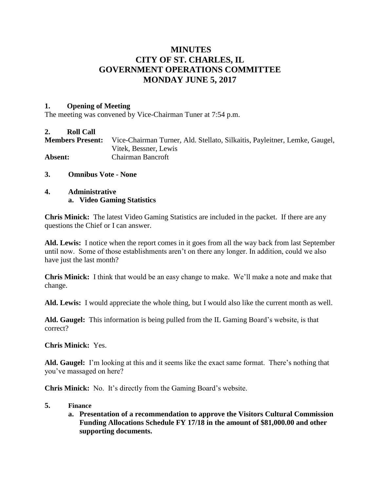# **MINUTES CITY OF ST. CHARLES, IL GOVERNMENT OPERATIONS COMMITTEE MONDAY JUNE 5, 2017**

### **1. Opening of Meeting**

The meeting was convened by Vice-Chairman Tuner at 7:54 p.m.

#### **2. Roll Call**

**Members Present:** Vice-Chairman Turner, Ald. Stellato, Silkaitis, Payleitner, Lemke, Gaugel, Vitek, Bessner, Lewis **Absent:** Chairman Bancroft

**3. Omnibus Vote - None**

## **4. Administrative a. Video Gaming Statistics**

**Chris Minick:** The latest Video Gaming Statistics are included in the packet. If there are any questions the Chief or I can answer.

**Ald. Lewis:** I notice when the report comes in it goes from all the way back from last September until now. Some of those establishments aren't on there any longer. In addition, could we also have just the last month?

**Chris Minick:** I think that would be an easy change to make. We'll make a note and make that change.

**Ald. Lewis:** I would appreciate the whole thing, but I would also like the current month as well.

**Ald. Gaugel:** This information is being pulled from the IL Gaming Board's website, is that correct?

**Chris Minick:** Yes.

**Ald. Gaugel:** I'm looking at this and it seems like the exact same format. There's nothing that you've massaged on here?

**Chris Minick:** No. It's directly from the Gaming Board's website.

#### **5. Finance**

**a. Presentation of a recommendation to approve the Visitors Cultural Commission Funding Allocations Schedule FY 17/18 in the amount of \$81,000.00 and other supporting documents.**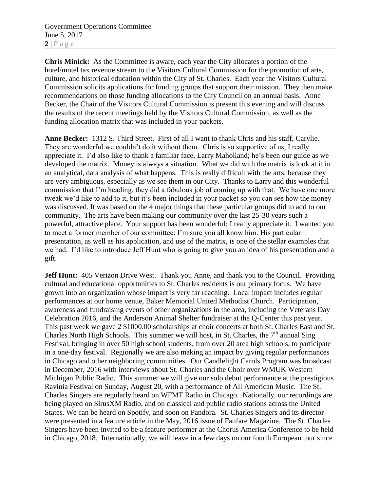Government Operations Committee June 5, 2017  $2 | P \text{ a } g \text{ e}$ 

**Chris Minick:** As the Committee is aware, each year the City allocates a portion of the hotel/motel tax revenue stream to the Visitors Cultural Commission for the promotion of arts, culture, and historical education within the City of St. Charles. Each year the Visitors Cultural Commission solicits applications for funding groups that support their mission. They then make recommendations on those funding allocations to the City Council on an annual basis. Anne Becker, the Chair of the Visitors Cultural Commission is present this evening and will discuss the results of the recent meetings held by the Visitors Cultural Commission, as well as the funding allocation matrix that was included in your packets.

**Anne Becker:** 1312 S. Third Street. First of all I want to thank Chris and his staff, Carylie. They are wonderful we couldn't do it without them. Chris is so supportive of us, I really appreciate it. I'd also like to thank a familiar face, Larry Maholland; he's been our guide as we developed the matrix. Money is always a situation. What we did with the matrix is look at it in an analytical, data analysis of what happens. This is really difficult with the arts, because they are very ambiguous, especially as we see them in our City. Thanks to Larry and this wonderful commission that I'm heading, they did a fabulous job of coming up with that. We have one more tweak we'd like to add to it, but it's been included in your packet so you can see how the money was discussed. It was based on the 4 major things that these particular groups did to add to our community. The arts have been making our community over the last 25-30 years such a powerful, attractive place. Your support has been wonderful; I really appreciate it. I wanted you to meet a former member of our committee; I'm sure you all know him. His particular presentation, as well as his application, and use of the matrix, is one of the stellar examples that we had. I'd like to introduce Jeff Hunt who is going to give you an idea of his presentation and a gift.

**Jeff Hunt:** 405 Verizon Drive West. Thank you Anne, and thank you to the Council. Providing cultural and educational opportunities to St. Charles residents is our primary focus. We have grown into an organization whose impact is very far reaching. Local impact includes regular performances at our home venue, Baker Memorial United Methodist Church. Participation, awareness and fundraising events of other organizations in the area, including the Veterans Day Celebration 2016, and the Anderson Animal Shelter fundraiser at the Q-Center this past year. This past week we gave 2 \$1000.00 scholarships at choir concerts at both St. Charles East and St. Charles North High Schools. This summer we will host, in St. Charles, the  $7<sup>th</sup>$  annual Sing Festival, bringing in over 50 high school students, from over 20 area high schools, to participate in a one-day festival. Regionally we are also making an impact by giving regular performances in Chicago and other neighboring communities. Our Candlelight Carols Program was broadcast in December, 2016 with interviews about St. Charles and the Choir over WMUK Western Michigan Public Radio. This summer we will give our solo debut performance at the prestigious Ravinia Festival on Sunday, August 20, with a performance of All American Music. The St. Charles Singers are regularly heard on WFMT Radio in Chicago. Nationally, our recordings are being played on SirusXM Radio, and on classical and public radio stations across the United States. We can be heard on Spotify, and soon on Pandora. St. Charles Singers and its director were presented in a feature article in the May, 2016 issue of Fanfare Magazine. The St. Charles Singers have been invited to be a feature performer at the Chorus America Conference to be held in Chicago, 2018. Internationally, we will leave in a few days on our fourth European tour since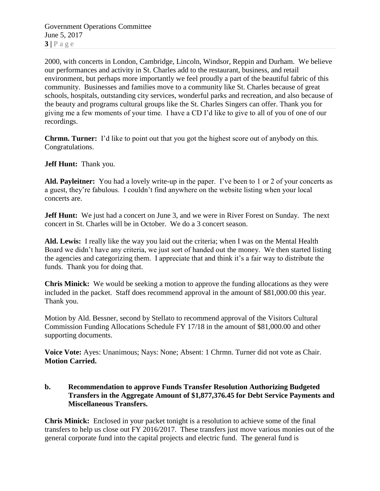Government Operations Committee June 5, 2017  $3|P \text{ age}$ 

2000, with concerts in London, Cambridge, Lincoln, Windsor, Reppin and Durham. We believe our performances and activity in St. Charles add to the restaurant, business, and retail environment, but perhaps more importantly we feel proudly a part of the beautiful fabric of this community. Businesses and families move to a community like St. Charles because of great schools, hospitals, outstanding city services, wonderful parks and recreation, and also because of the beauty and programs cultural groups like the St. Charles Singers can offer. Thank you for giving me a few moments of your time. I have a CD I'd like to give to all of you of one of our recordings.

**Chrmn. Turner:** I'd like to point out that you got the highest score out of anybody on this. Congratulations.

**Jeff Hunt:** Thank you.

**Ald. Payleitner:** You had a lovely write-up in the paper. I've been to 1 or 2 of your concerts as a guest, they're fabulous. I couldn't find anywhere on the website listing when your local concerts are.

**Jeff Hunt:** We just had a concert on June 3, and we were in River Forest on Sunday. The next concert in St. Charles will be in October. We do a 3 concert season.

**Ald. Lewis:** I really like the way you laid out the criteria; when I was on the Mental Health Board we didn't have any criteria, we just sort of handed out the money. We then started listing the agencies and categorizing them. I appreciate that and think it's a fair way to distribute the funds. Thank you for doing that.

**Chris Minick:** We would be seeking a motion to approve the funding allocations as they were included in the packet. Staff does recommend approval in the amount of \$81,000.00 this year. Thank you.

Motion by Ald. Bessner, second by Stellato to recommend approval of the Visitors Cultural Commission Funding Allocations Schedule FY 17/18 in the amount of \$81,000.00 and other supporting documents.

**Voice Vote:** Ayes: Unanimous; Nays: None; Absent: 1 Chrmn. Turner did not vote as Chair. **Motion Carried.**

**b. Recommendation to approve Funds Transfer Resolution Authorizing Budgeted Transfers in the Aggregate Amount of \$1,877,376.45 for Debt Service Payments and Miscellaneous Transfers.** 

**Chris Minick:** Enclosed in your packet tonight is a resolution to achieve some of the final transfers to help us close out FY 2016/2017. These transfers just move various monies out of the general corporate fund into the capital projects and electric fund. The general fund is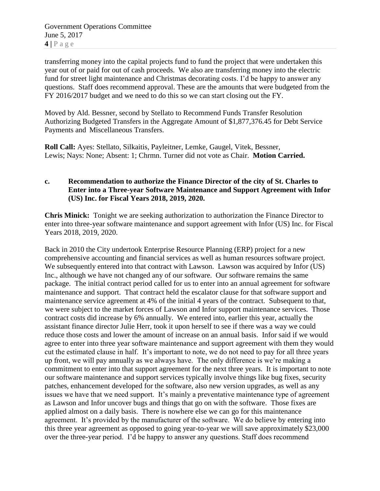Government Operations Committee June 5, 2017 **4 |** P a g e

transferring money into the capital projects fund to fund the project that were undertaken this year out of or paid for out of cash proceeds. We also are transferring money into the electric fund for street light maintenance and Christmas decorating costs. I'd be happy to answer any questions. Staff does recommend approval. These are the amounts that were budgeted from the FY 2016/2017 budget and we need to do this so we can start closing out the FY.

Moved by Ald. Bessner, second by Stellato to Recommend Funds Transfer Resolution Authorizing Budgeted Transfers in the Aggregate Amount of \$1,877,376.45 for Debt Service Payments and Miscellaneous Transfers.

**Roll Call:** Ayes: Stellato, Silkaitis, Payleitner, Lemke, Gaugel, Vitek, Bessner, Lewis; Nays: None; Absent: 1; Chrmn. Turner did not vote as Chair. **Motion Carried.**

# **c. Recommendation to authorize the Finance Director of the city of St. Charles to Enter into a Three-year Software Maintenance and Support Agreement with Infor (US) Inc. for Fiscal Years 2018, 2019, 2020.**

**Chris Minick:** Tonight we are seeking authorization to authorization the Finance Director to enter into three-year software maintenance and support agreement with Infor (US) Inc. for Fiscal Years 2018, 2019, 2020.

Back in 2010 the City undertook Enterprise Resource Planning (ERP) project for a new comprehensive accounting and financial services as well as human resources software project. We subsequently entered into that contract with Lawson. Lawson was acquired by Infor (US) Inc., although we have not changed any of our software. Our software remains the same package. The initial contract period called for us to enter into an annual agreement for software maintenance and support. That contract held the escalator clause for that software support and maintenance service agreement at 4% of the initial 4 years of the contract. Subsequent to that, we were subject to the market forces of Lawson and Infor support maintenance services. Those contract costs did increase by 6% annually. We entered into, earlier this year, actually the assistant finance director Julie Herr, took it upon herself to see if there was a way we could reduce those costs and lower the amount of increase on an annual basis. Infor said if we would agree to enter into three year software maintenance and support agreement with them they would cut the estimated clause in half. It's important to note, we do not need to pay for all three years up front, we will pay annually as we always have. The only difference is we're making a commitment to enter into that support agreement for the next three years. It is important to note our software maintenance and support services typically involve things like bug fixes, security patches, enhancement developed for the software, also new version upgrades, as well as any issues we have that we need support. It's mainly a preventative maintenance type of agreement as Lawson and Infor uncover bugs and things that go on with the software. Those fixes are applied almost on a daily basis. There is nowhere else we can go for this maintenance agreement. It's provided by the manufacturer of the software. We do believe by entering into this three year agreement as opposed to going year-to-year we will save approximately \$23,000 over the three-year period. I'd be happy to answer any questions. Staff does recommend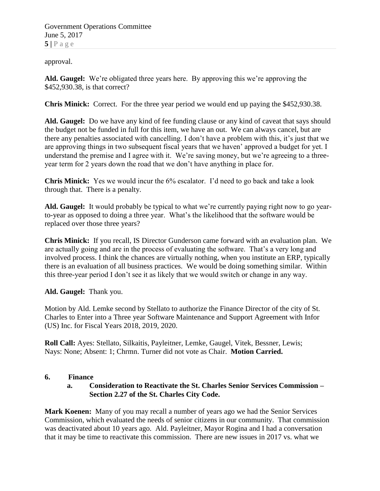Government Operations Committee June 5, 2017  $5|$   $P$  a g e

approval.

**Ald. Gaugel:** We're obligated three years here. By approving this we're approving the \$452,930.38, is that correct?

**Chris Minick:** Correct. For the three year period we would end up paying the \$452,930.38.

**Ald. Gaugel:** Do we have any kind of fee funding clause or any kind of caveat that says should the budget not be funded in full for this item, we have an out. We can always cancel, but are there any penalties associated with cancelling. I don't have a problem with this, it's just that we are approving things in two subsequent fiscal years that we haven' approved a budget for yet. I understand the premise and I agree with it. We're saving money, but we're agreeing to a threeyear term for 2 years down the road that we don't have anything in place for.

**Chris Minick:** Yes we would incur the 6% escalator. I'd need to go back and take a look through that. There is a penalty.

**Ald. Gaugel:** It would probably be typical to what we're currently paying right now to go yearto-year as opposed to doing a three year. What's the likelihood that the software would be replaced over those three years?

**Chris Minick:** If you recall, IS Director Gunderson came forward with an evaluation plan. We are actually going and are in the process of evaluating the software. That's a very long and involved process. I think the chances are virtually nothing, when you institute an ERP, typically there is an evaluation of all business practices. We would be doing something similar. Within this three-year period I don't see it as likely that we would switch or change in any way.

**Ald. Gaugel:** Thank you.

Motion by Ald. Lemke second by Stellato to authorize the Finance Director of the city of St. Charles to Enter into a Three year Software Maintenance and Support Agreement with Infor (US) Inc. for Fiscal Years 2018, 2019, 2020.

**Roll Call:** Ayes: Stellato, Silkaitis, Payleitner, Lemke, Gaugel, Vitek, Bessner, Lewis; Nays: None; Absent: 1; Chrmn. Turner did not vote as Chair. **Motion Carried.**

# **6. Finance**

# **a. Consideration to Reactivate the St. Charles Senior Services Commission – Section 2.27 of the St. Charles City Code.**

**Mark Koenen:** Many of you may recall a number of years ago we had the Senior Services Commission, which evaluated the needs of senior citizens in our community. That commission was deactivated about 10 years ago. Ald. Payleitner, Mayor Rogina and I had a conversation that it may be time to reactivate this commission. There are new issues in 2017 vs. what we